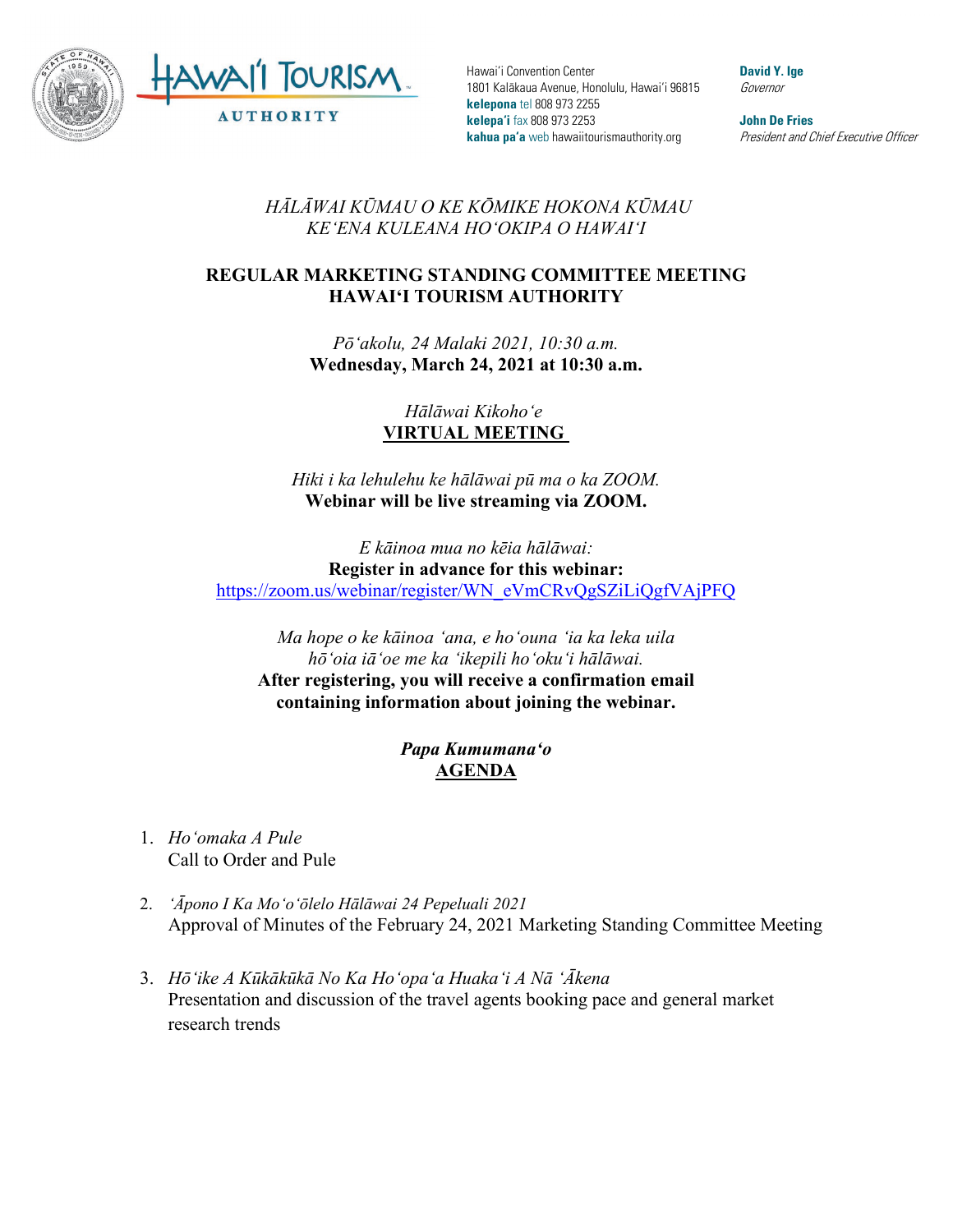

Hawai'i Convention Center 1801 Kalākaua Avenue, Honolulu, Hawai'i 96815 **kelepona** tel 808 973 2255 **kelepa'i** fax 808 973 2253 **kahua pa'a** web hawaiitourismauthority.org

**David Y. Ige** Governor

**John De Fries** President and Chief Executive Officer

## *HĀLĀWAI KŪMAU O KE KŌMIKE HOKONA KŪMAU KEʻENA KULEANA HOʻOKIPA O HAWAIʻI*

## **REGULAR MARKETING STANDING COMMITTEE MEETING HAWAI'I TOURISM AUTHORITY**

*Pōʻakolu, 24 Malaki 2021, 10:30 a.m.* **Wednesday, March 24, 2021 at 10:30 a.m.**

> *Hālāwai Kikohoʻe* **VIRTUAL MEETING**

*Hiki i ka lehulehu ke hālāwai pū ma o ka ZOOM.* **Webinar will be live streaming via ZOOM.**

*E kāinoa mua no kēia hālāwai:* **Register in advance for this webinar:** [https://zoom.us/webinar/register/WN\\_eVmCRvQgSZiLiQgfVAjPFQ](https://zoom.us/webinar/register/WN_eVmCRvQgSZiLiQgfVAjPFQ)

*Ma hope o ke kāinoa ʻana, e hoʻouna ʻia ka leka uila hōʻoia iāʻoe me ka ʻikepili hoʻokuʻi hālāwai.*  **After registering, you will receive a confirmation email containing information about joining the webinar.**

> *Papa Kumumanaʻo* **AGENDA**

- 1. *Hoʻomaka A Pule* Call to Order and Pule
- 2. *ʻĀpono I Ka Moʻoʻōlelo Hālāwai 24 Pepeluali 2021*  Approval of Minutes of the February 24, 2021 Marketing Standing Committee Meeting
- 3. *Hōʻike A Kūkākūkā No Ka Hoʻopaʻa Huakaʻi A Nā ʻĀkena* Presentation and discussion of the travel agents booking pace and general market research trends